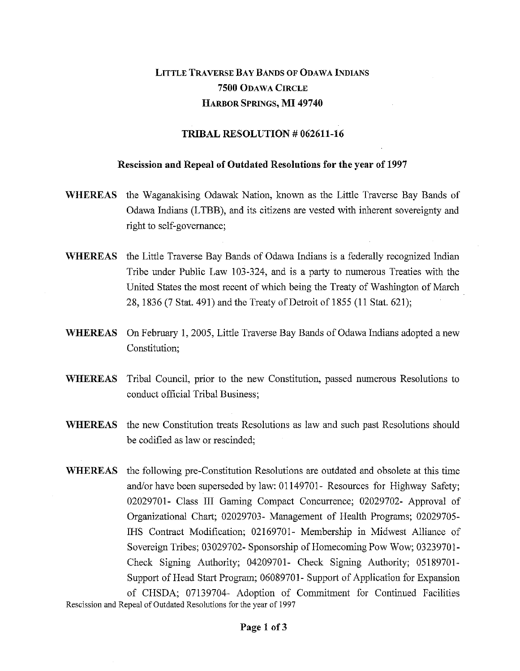## LITTLE TRAVERSE BAY BANDS OF ODAWA INDIANS **7500** ODAWA CIRCLE HARBOR SPRINGS, **MI 49740**

## **TRIBAL RESOLUTION** *#* **062611-16**

## **Rescission and Repeal of Outdated Resolutions for the year of 1997**

- **WHEREAS** the Waganakising Odawak Nation, known as the Little Traverse Bay Bands of Odawa Indians (LTBB), and its citizens are vested with inherent sovereignty and right to self-governance;
- **WHEREAS** the Little Traverse Bay Bands of Odawa Indians is a federally recognized Indian Tribe under Public Law 103-324, and is a party to numerous Treaties with the United States the most recent of which being the Treaty of Washington of March 28, 1836 (7 Stat. 491) and the Treaty of Detroit of 1855 (11 Stat. 621);
- **WHEREAS** On February 1, 2005, Little Traverse Bay Bands of Odawa Indians adopted a new Constitution;
- **WHEREAS** Tribal Council, prior to the new Constitution, passed numerous Resolutions to conduct official Tribal Business;
- **WHEREAS** the new Constitution treats Resolutions as law and such past Resolutions should be codified as law or rescinded;
- **WHEREAS** the following pre-Constitution Resolutions are outdated and obsolete at this time and/or have been superseded by law: 01149701- Resources for Highway Safety; 02029701- Class III Gaming Compact Concurrence; 02029702- Approval of Organizational Chart; 02029703- Management of Health Programs; 02029705- IHS Contract Modification; 02169701- Membership in Midwest Alliance of Sovereign Tribes; 03029702- Sponsorship of Homecoming Pow Wow; 03239701- Check Signing Authority; 04209701- Check Signing Authority; 05189701- Support of Head Start Program; 06089701- Support of Application for Expansion of CHSDA; 07139704- Adoption of Commitment for Continued Facilities Rescission and Repeal of Outdated Resolutions for the year of 1997

**Page 1 of 3**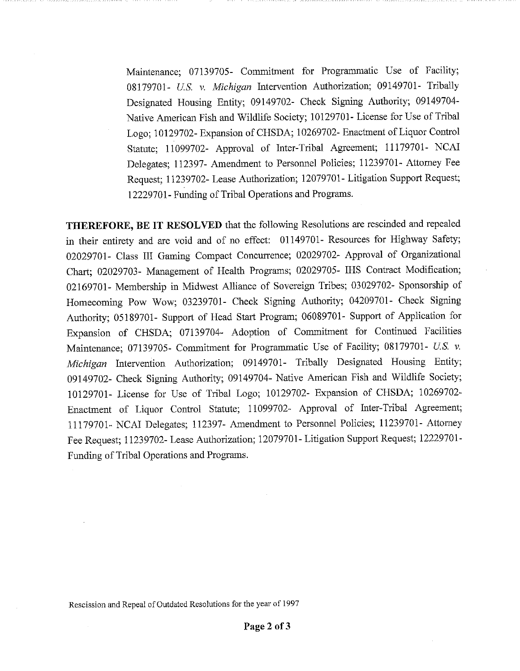Maintenance; 07139705- Commitment for Programmatic Use of Facility; 08179701- *U.S. v. Michigan* Intervention Authorization; 09149701- Tribally Designated Housing Entity; 09149702- Check Signing Authority; 09149704- Native American Fish and Wildlife Society; 10129701- License for Use of Tribal Logo; 10129702- Expansion of CHSDA; 10269702- Enactment of Liquor Control Statute; 11099702- Approval of Inter-Tribal Agreement; 11179701- NCAI Delegates; 112397- Amendment to Personnel Policies; 11239701- Attorney Fee Request; 11239702- Lease Authorization; 12079701- Litigation Support Request; 12229701- Funding of Tribal Operations and Programs.

THEREFORE, BE IT RESOLVED that the following Resolutions are rescinded and repealed in their entirety and are void and of no effect: 01149701- Resources for Highway Safety; 02029701- Class III Gaming Compact Concurrence; 02029702- Approval of Organizational Chart; 02029703- Management of Health Programs; 02029705- IHS Contract Modification; 02169701- Membership in Midwest Alliance of Sovereign Tribes; 03029702- Sponsorship of Homecoming Pow Wow; 03239701- Check Signing Authority; 04209701- Check Signing Authority; 05189701- Support of Head Start Program; 06089701- Support of Application for Expansion of CHSDA; 07139704- Adoption of Commitment for Continued Facilities Maintenance; 07139705- Commitment for Programmatic Use of Facility; 08179701- *U.S* v. *Michigan* Intervention Authorization; 09149701- Tribally Designated Housing Entity; 09149702- Check Signing Authority; 09149704- Native American Fish and Wildlife Society; 10129701- License for Use of Tribal Logo; 10129702- Expansion of CHSDA; 10269702- Enactment of Liquor Control Statute; 11099702- Approval of Inter-Tribal Agreement; 11179701- NCAI Delegates; 112397- Amendment to Personnel Policies; 11239701- Attorney Fee Request; 11239702- Lease Authorization; 12079701- Litigation Support Request; 12229701- Funding of Tribal Operations and Programs.

Rescission and Repeal of Outdated Resolutions for the year of 1997